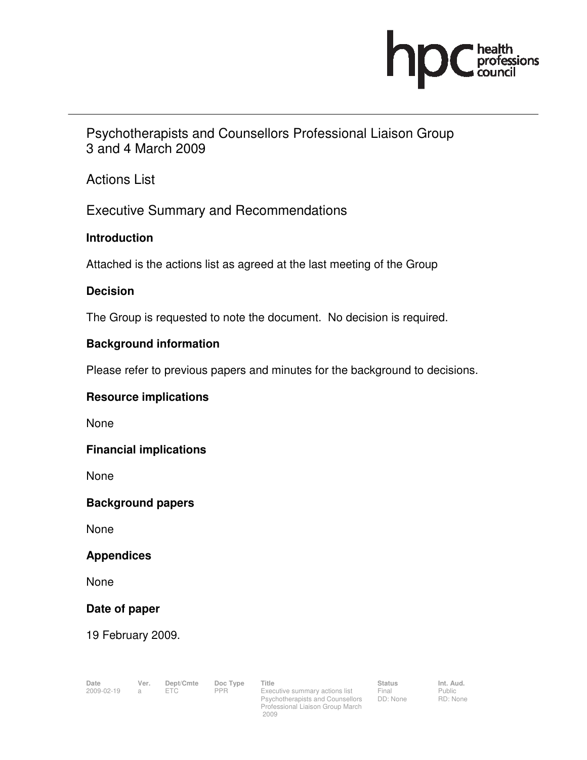# **CONTRACTOR**<br> **Professions**

Psychotherapists and Counsellors Professional Liaison Group 3 and 4 March 2009

Actions List

Executive Summary and Recommendations

## **Introduction**

Attached is the actions list as agreed at the last meeting of the Group

## **Decision**

The Group is requested to note the document. No decision is required.

## **Background information**

Please refer to previous papers and minutes for the background to decisions.

#### **Resource implications**

None

#### **Financial implications**

None

#### **Background papers**

None

#### **Appendices**

None

#### **Date of paper**

19 February 2009.

Psychotherapists and Counsellors Professional Liaison Group March 2009

Status<br>Final DD: None

Public RD: None